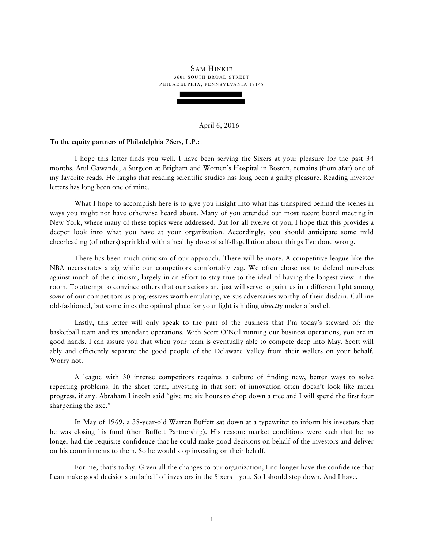# SAM HINKIE 3601 SOUTH BROAD STREET P H I L A D E L P H I A, P E N N S Y L V A N I A 19148

# April 6, 2016

#### **To the equity partners of Philadelphia 76ers, L.P.:**

I hope this letter finds you well. I have been serving the Sixers at your pleasure for the past 34 months. Atul Gawande, a Surgeon at Brigham and Women's Hospital in Boston, remains (from afar) one of my favorite reads. He laughs that reading scientific studies has long been a guilty pleasure. Reading investor letters has long been one of mine.

What I hope to accomplish here is to give you insight into what has transpired behind the scenes in ways you might not have otherwise heard about. Many of you attended our most recent board meeting in New York, where many of these topics were addressed. But for all twelve of you, I hope that this provides a deeper look into what you have at your organization. Accordingly, you should anticipate some mild cheerleading (of others) sprinkled with a healthy dose of self-flagellation about things I've done wrong.

There has been much criticism of our approach. There will be more. A competitive league like the NBA necessitates a zig while our competitors comfortably zag. We often chose not to defend ourselves against much of the criticism, largely in an effort to stay true to the ideal of having the longest view in the room. To attempt to convince others that our actions are just will serve to paint us in a different light among *some* of our competitors as progressives worth emulating, versus adversaries worthy of their disdain. Call me old-fashioned, but sometimes the optimal place for your light is hiding *directly* under a bushel.

Lastly, this letter will only speak to the part of the business that I'm today's steward of: the basketball team and its attendant operations. With Scott O'Neil running our business operations, you are in good hands. I can assure you that when your team is eventually able to compete deep into May, Scott will ably and efficiently separate the good people of the Delaware Valley from their wallets on your behalf. Worry not.

A league with 30 intense competitors requires a culture of finding new, better ways to solve repeating problems. In the short term, investing in that sort of innovation often doesn't look like much progress, if any. Abraham Lincoln said "give me six hours to chop down a tree and I will spend the first four sharpening the axe."

In May of 1969, a 38-year-old Warren Buffett sat down at a typewriter to inform his investors that he was closing his fund (then Buffett Partnership). His reason: market conditions were such that he no longer had the requisite confidence that he could make good decisions on behalf of the investors and deliver on his commitments to them. So he would stop investing on their behalf.

For me, that's today. Given all the changes to our organization, I no longer have the confidence that I can make good decisions on behalf of investors in the Sixers—you. So I should step down. And I have.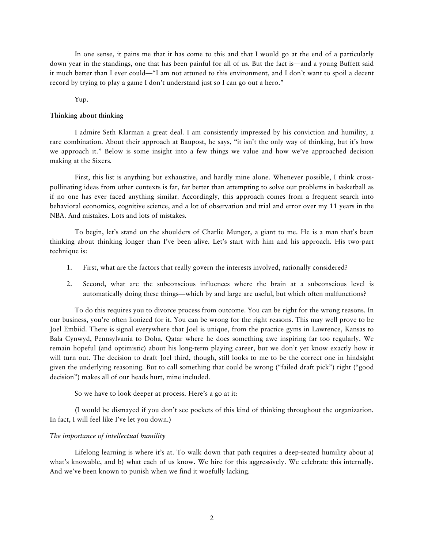In one sense, it pains me that it has come to this and that I would go at the end of a particularly down year in the standings, one that has been painful for all of us. But the fact is—and a young Buffett said it much better than I ever could—"I am not attuned to this environment, and I don't want to spoil a decent record by trying to play a game I don't understand just so I can go out a hero."

#### Yup.

## **Thinking about thinking**

I admire Seth Klarman a great deal. I am consistently impressed by his conviction and humility, a rare combination. About their approach at Baupost, he says, "it isn't the only way of thinking, but it's how we approach it." Below is some insight into a few things we value and how we've approached decision making at the Sixers.

First, this list is anything but exhaustive, and hardly mine alone. Whenever possible, I think crosspollinating ideas from other contexts is far, far better than attempting to solve our problems in basketball as if no one has ever faced anything similar. Accordingly, this approach comes from a frequent search into behavioral economics, cognitive science, and a lot of observation and trial and error over my 11 years in the NBA. And mistakes. Lots and lots of mistakes.

To begin, let's stand on the shoulders of Charlie Munger, a giant to me. He is a man that's been thinking about thinking longer than I've been alive. Let's start with him and his approach. His two-part technique is:

- 1. First, what are the factors that really govern the interests involved, rationally considered?
- 2. Second, what are the subconscious influences where the brain at a subconscious level is automatically doing these things—which by and large are useful, but which often malfunctions?

To do this requires you to divorce process from outcome. You can be right for the wrong reasons. In our business, you're often lionized for it. You can be wrong for the right reasons. This may well prove to be Joel Embiid. There is signal everywhere that Joel is unique, from the practice gyms in Lawrence, Kansas to Bala Cynwyd, Pennsylvania to Doha, Qatar where he does something awe inspiring far too regularly. We remain hopeful (and optimistic) about his long-term playing career, but we don't yet know exactly how it will turn out. The decision to draft Joel third, though, still looks to me to be the correct one in hindsight given the underlying reasoning. But to call something that could be wrong ("failed draft pick") right ("good decision") makes all of our heads hurt, mine included.

So we have to look deeper at process. Here's a go at it:

(I would be dismayed if you don't see pockets of this kind of thinking throughout the organization. In fact, I will feel like I've let you down.)

## *The importance of intellectual humility*

Lifelong learning is where it's at. To walk down that path requires a deep-seated humility about a) what's knowable, and b) what each of us know. We hire for this aggressively. We celebrate this internally. And we've been known to punish when we find it woefully lacking.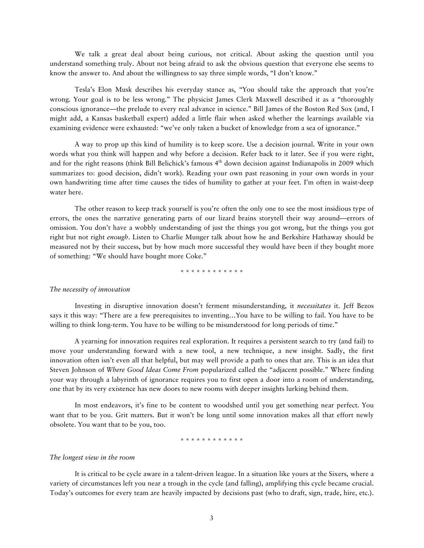We talk a great deal about being curious, not critical. About asking the question until you understand something truly. About not being afraid to ask the obvious question that everyone else seems to know the answer to. And about the willingness to say three simple words, "I don't know."

Tesla's Elon Musk describes his everyday stance as, "You should take the approach that you're wrong. Your goal is to be less wrong." The physicist James Clerk Maxwell described it as a "thoroughly conscious ignorance—the prelude to every real advance in science." Bill James of the Boston Red Sox (and, I might add, a Kansas basketball expert) added a little flair when asked whether the learnings available via examining evidence were exhausted: "we've only taken a bucket of knowledge from a sea of ignorance."

A way to prop up this kind of humility is to keep score. Use a decision journal. Write in your own words what you think will happen and why before a decision. Refer back to it later. See if you were right, and for the right reasons (think Bill Belichick's famous 4<sup>th</sup> down decision against Indianapolis in 2009 which summarizes to: good decision, didn't work). Reading your own past reasoning in your own words in your own handwriting time after time causes the tides of humility to gather at your feet. I'm often in waist-deep water here.

The other reason to keep track yourself is you're often the only one to see the most insidious type of errors, the ones the narrative generating parts of our lizard brains storytell their way around—errors of omission. You don't have a wobbly understanding of just the things you got wrong, but the things you got right but not right *enough*. Listen to Charlie Munger talk about how he and Berkshire Hathaway should be measured not by their success, but by how much more successful they would have been if they bought more of something: "We should have bought more Coke."

\* \* \* \* \* \* \* \* \* \* \* \*

## *The necessity of innovation*

Investing in disruptive innovation doesn't ferment misunderstanding, it *necessitates* it. Jeff Bezos says it this way: "There are a few prerequisites to inventing…You have to be willing to fail. You have to be willing to think long-term. You have to be willing to be misunderstood for long periods of time."

A yearning for innovation requires real exploration. It requires a persistent search to try (and fail) to move your understanding forward with a new tool, a new technique, a new insight. Sadly, the first innovation often isn't even all that helpful, but may well provide a path to ones that are. This is an idea that Steven Johnson of *Where Good Ideas Come From* popularized called the "adjacent possible." Where finding your way through a labyrinth of ignorance requires you to first open a door into a room of understanding, one that by its very existence has new doors to new rooms with deeper insights lurking behind them.

In most endeavors, it's fine to be content to woodshed until you get something near perfect. You want that to be you. Grit matters. But it won't be long until some innovation makes all that effort newly obsolete. You want that to be you, too.

## \* \* \* \* \* \* \* \* \* \* \* \*

# *The longest view in the room*

It is critical to be cycle aware in a talent-driven league. In a situation like yours at the Sixers, where a variety of circumstances left you near a trough in the cycle (and falling), amplifying this cycle became crucial. Today's outcomes for every team are heavily impacted by decisions past (who to draft, sign, trade, hire, etc.).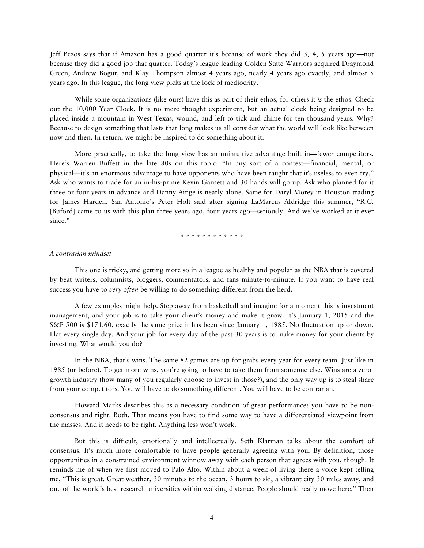Jeff Bezos says that if Amazon has a good quarter it's because of work they did 3, 4, 5 years ago—not because they did a good job that quarter. Today's league-leading Golden State Warriors acquired Draymond Green, Andrew Bogut, and Klay Thompson almost 4 years ago, nearly 4 years ago exactly, and almost 5 years ago. In this league, the long view picks at the lock of mediocrity.

While some organizations (like ours) have this as part of their ethos, for others it *is* the ethos. Check out the 10,000 Year Clock. It is no mere thought experiment, but an actual clock being designed to be placed inside a mountain in West Texas, wound, and left to tick and chime for ten thousand years. Why? Because to design something that lasts that long makes us all consider what the world will look like between now and then. In return, we might be inspired to do something about it.

More practically, to take the long view has an unintuitive advantage built in—fewer competitors. Here's Warren Buffett in the late 80s on this topic: "In any sort of a contest—financial, mental, or physical—it's an enormous advantage to have opponents who have been taught that it's useless to even try." Ask who wants to trade for an in-his-prime Kevin Garnett and 30 hands will go up. Ask who planned for it three or four years in advance and Danny Ainge is nearly alone. Same for Daryl Morey in Houston trading for James Harden. San Antonio's Peter Holt said after signing LaMarcus Aldridge this summer, "R.C. [Buford] came to us with this plan three years ago, four years ago—seriously. And we've worked at it ever since."

\* \* \* \* \* \* \* \* \* \* \* \*

## *A contrarian mindset*

This one is tricky, and getting more so in a league as healthy and popular as the NBA that is covered by beat writers, columnists, bloggers, commentators, and fans minute-to-minute. If you want to have real success you have to *very often* be willing to do something different from the herd.

A few examples might help. Step away from basketball and imagine for a moment this is investment management, and your job is to take your client's money and make it grow. It's January 1, 2015 and the S&P 500 is \$171.60, exactly the same price it has been since January 1, 1985. No fluctuation up or down. Flat every single day. And your job for every day of the past 30 years is to make money for your clients by investing. What would you do?

In the NBA, that's wins. The same 82 games are up for grabs every year for every team. Just like in 1985 (or before). To get more wins, you're going to have to take them from someone else. Wins are a zerogrowth industry (how many of you regularly choose to invest in those?), and the only way up is to steal share from your competitors. You will have to do something different. You will have to be contrarian.

Howard Marks describes this as a necessary condition of great performance: you have to be nonconsensus and right. Both. That means you have to find some way to have a differentiated viewpoint from the masses. And it needs to be right. Anything less won't work.

But this is difficult, emotionally and intellectually. Seth Klarman talks about the comfort of consensus. It's much more comfortable to have people generally agreeing with you. By definition, those opportunities in a constrained environment winnow away with each person that agrees with you, though. It reminds me of when we first moved to Palo Alto. Within about a week of living there a voice kept telling me, "This is great. Great weather, 30 minutes to the ocean, 3 hours to ski, a vibrant city 30 miles away, and one of the world's best research universities within walking distance. People should really move here." Then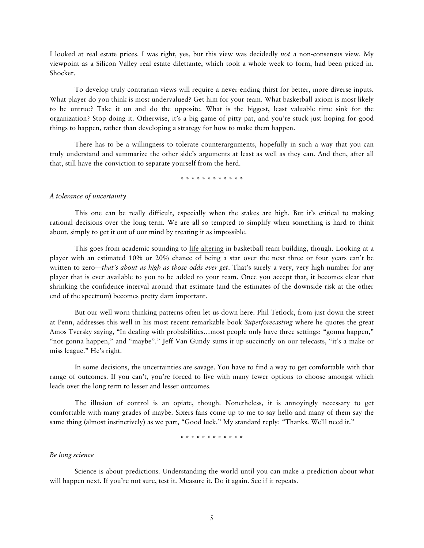I looked at real estate prices. I was right, yes, but this view was decidedly *not* a non-consensus view. My viewpoint as a Silicon Valley real estate dilettante, which took a whole week to form, had been priced in. Shocker.

To develop truly contrarian views will require a never-ending thirst for better, more diverse inputs. What player do you think is most undervalued? Get him for your team. What basketball axiom is most likely to be untrue? Take it on and do the opposite. What is the biggest, least valuable time sink for the organization? Stop doing it. Otherwise, it's a big game of pitty pat, and you're stuck just hoping for good things to happen, rather than developing a strategy for how to make them happen.

There has to be a willingness to tolerate counterarguments, hopefully in such a way that you can truly understand and summarize the other side's arguments at least as well as they can. And then, after all that, still have the conviction to separate yourself from the herd.

\* \* \* \* \* \* \* \* \* \* \* \*

# *A tolerance of uncertainty*

This one can be really difficult, especially when the stakes are high. But it's critical to making rational decisions over the long term. We are all so tempted to simplify when something is hard to think about, simply to get it out of our mind by treating it as impossible.

This goes from academic sounding to life altering in basketball team building, though. Looking at a player with an estimated 10% or 20% chance of being a star over the next three or four years can't be written to zero—*that's about as high as those odds ever get*. That's surely a very, very high number for any player that is ever available to you to be added to your team. Once you accept that, it becomes clear that shrinking the confidence interval around that estimate (and the estimates of the downside risk at the other end of the spectrum) becomes pretty darn important.

But our well worn thinking patterns often let us down here. Phil Tetlock, from just down the street at Penn, addresses this well in his most recent remarkable book *Superforecasting* where he quotes the great Amos Tversky saying, "In dealing with probabilities…most people only have three settings: "gonna happen," "not gonna happen," and "maybe"." Jeff Van Gundy sums it up succinctly on our telecasts, "it's a make or miss league." He's right.

In some decisions, the uncertainties are savage. You have to find a way to get comfortable with that range of outcomes. If you can't, you're forced to live with many fewer options to choose amongst which leads over the long term to lesser and lesser outcomes.

The illusion of control is an opiate, though. Nonetheless, it is annoyingly necessary to get comfortable with many grades of maybe. Sixers fans come up to me to say hello and many of them say the same thing (almost instinctively) as we part, "Good luck." My standard reply: "Thanks. We'll need it."

\* \* \* \* \* \* \* \* \* \* \* \*

## *Be long science*

Science is about predictions. Understanding the world until you can make a prediction about what will happen next. If you're not sure, test it. Measure it. Do it again. See if it repeats.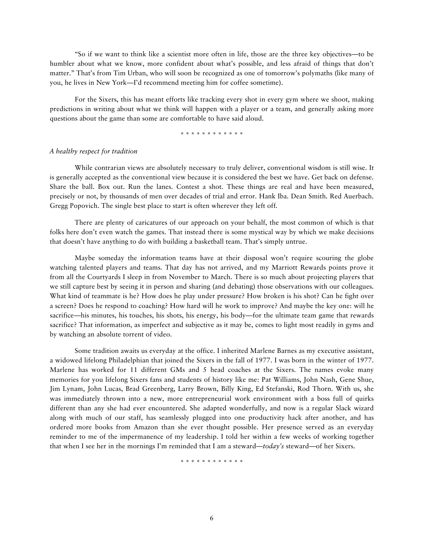"So if we want to think like a scientist more often in life, those are the three key objectives—to be humbler about what we know, more confident about what's possible, and less afraid of things that don't matter." That's from Tim Urban, who will soon be recognized as one of tomorrow's polymaths (like many of you, he lives in New York—I'd recommend meeting him for coffee sometime).

For the Sixers, this has meant efforts like tracking every shot in every gym where we shoot, making predictions in writing about what we think will happen with a player or a team, and generally asking more questions about the game than some are comfortable to have said aloud.

\* \* \* \* \* \* \* \* \* \* \* \*

## *A healthy respect for tradition*

While contrarian views are absolutely necessary to truly deliver, conventional wisdom is still wise. It is generally accepted as the conventional view because it is considered the best we have. Get back on defense. Share the ball. Box out. Run the lanes. Contest a shot. These things are real and have been measured, precisely or not, by thousands of men over decades of trial and error. Hank Iba. Dean Smith. Red Auerbach. Gregg Popovich. The single best place to start is often wherever they left off.

There are plenty of caricatures of our approach on your behalf, the most common of which is that folks here don't even watch the games. That instead there is some mystical way by which we make decisions that doesn't have anything to do with building a basketball team. That's simply untrue.

Maybe someday the information teams have at their disposal won't require scouring the globe watching talented players and teams. That day has not arrived, and my Marriott Rewards points prove it from all the Courtyards I sleep in from November to March. There is so much about projecting players that we still capture best by seeing it in person and sharing (and debating) those observations with our colleagues. What kind of teammate is he? How does he play under pressure? How broken is his shot? Can he fight over a screen? Does he respond to coaching? How hard will he work to improve? And maybe the key one: will he sacrifice—his minutes, his touches, his shots, his energy, his body—for the ultimate team game that rewards sacrifice? That information, as imperfect and subjective as it may be, comes to light most readily in gyms and by watching an absolute torrent of video.

Some tradition awaits us everyday at the office. I inherited Marlene Barnes as my executive assistant, a widowed lifelong Philadelphian that joined the Sixers in the fall of 1977. I was born in the winter of 1977. Marlene has worked for 11 different GMs and 5 head coaches at the Sixers. The names evoke many memories for you lifelong Sixers fans and students of history like me: Pat Williams, John Nash, Gene Shue, Jim Lynam, John Lucas, Brad Greenberg, Larry Brown, Billy King, Ed Stefanski, Rod Thorn. With us, she was immediately thrown into a new, more entrepreneurial work environment with a boss full of quirks different than any she had ever encountered. She adapted wonderfully, and now is a regular Slack wizard along with much of our staff, has seamlessly plugged into one productivity hack after another, and has ordered more books from Amazon than she ever thought possible. Her presence served as an everyday reminder to me of the impermanence of my leadership. I told her within a few weeks of working together that when I see her in the mornings I'm reminded that I am a steward—*today's* steward—of her Sixers.

\* \* \* \* \* \* \* \* \* \* \* \*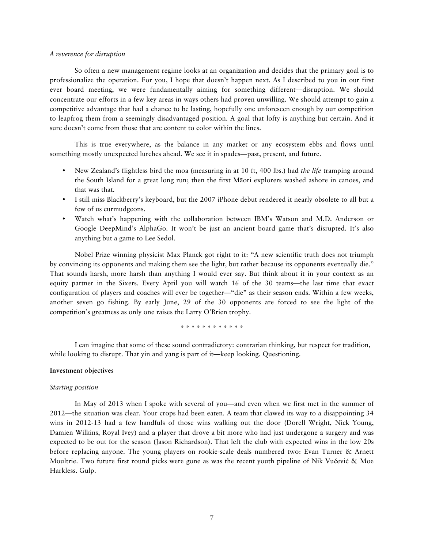#### *A reverence for disruption*

So often a new management regime looks at an organization and decides that the primary goal is to professionalize the operation. For you, I hope that doesn't happen next. As I described to you in our first ever board meeting, we were fundamentally aiming for something different—disruption. We should concentrate our efforts in a few key areas in ways others had proven unwilling. We should attempt to gain a competitive advantage that had a chance to be lasting, hopefully one unforeseen enough by our competition to leapfrog them from a seemingly disadvantaged position. A goal that lofty is anything but certain. And it sure doesn't come from those that are content to color within the lines.

This is true everywhere, as the balance in any market or any ecosystem ebbs and flows until something mostly unexpected lurches ahead. We see it in spades—past, present, and future.

- New Zealand's flightless bird the moa (measuring in at 10 ft, 400 lbs.) had *the life* tramping around the South Island for a great long run; then the first Māori explorers washed ashore in canoes, and that was that.
- I still miss Blackberry's keyboard, but the 2007 iPhone debut rendered it nearly obsolete to all but a few of us curmudgeons.
- Watch what's happening with the collaboration between IBM's Watson and M.D. Anderson or Google DeepMind's AlphaGo. It won't be just an ancient board game that's disrupted. It's also anything but a game to Lee Sedol.

Nobel Prize winning physicist Max Planck got right to it: "A new scientific truth does not triumph by convincing its opponents and making them see the light, but rather because its opponents eventually die." That sounds harsh, more harsh than anything I would ever say. But think about it in your context as an equity partner in the Sixers. Every April you will watch 16 of the 30 teams—the last time that exact configuration of players and coaches will ever be together—"die" as their season ends. Within a few weeks, another seven go fishing. By early June, 29 of the 30 opponents are forced to see the light of the competition's greatness as only one raises the Larry O'Brien trophy.

\* \* \* \* \* \* \* \* \* \* \* \*

I can imagine that some of these sound contradictory: contrarian thinking, but respect for tradition, while looking to disrupt. That yin and yang is part of it—keep looking. Questioning.

#### **Investment objectives**

# *Starting position*

In May of 2013 when I spoke with several of you—and even when we first met in the summer of 2012—the situation was clear. Your crops had been eaten. A team that clawed its way to a disappointing 34 wins in 2012-13 had a few handfuls of those wins walking out the door (Dorell Wright, Nick Young, Damien Wilkins, Royal Ivey) and a player that drove a bit more who had just undergone a surgery and was expected to be out for the season (Jason Richardson). That left the club with expected wins in the low 20s before replacing anyone. The young players on rookie-scale deals numbered two: Evan Turner & Arnett Moultrie. Two future first round picks were gone as was the recent youth pipeline of Nik Vučević & Moe Harkless. Gulp.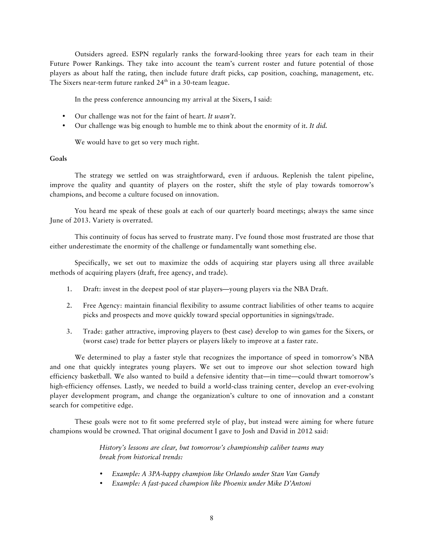Outsiders agreed. ESPN regularly ranks the forward-looking three years for each team in their Future Power Rankings. They take into account the team's current roster and future potential of those players as about half the rating, then include future draft picks, cap position, coaching, management, etc. The Sixers near-term future ranked 24<sup>th</sup> in a 30-team league.

In the press conference announcing my arrival at the Sixers, I said:

- Our challenge was not for the faint of heart. *It wasn't*.
- Our challenge was big enough to humble me to think about the enormity of it. *It did.*

We would have to get so very much right.

# **Goals**

The strategy we settled on was straightforward, even if arduous. Replenish the talent pipeline, improve the quality and quantity of players on the roster, shift the style of play towards tomorrow's champions, and become a culture focused on innovation.

You heard me speak of these goals at each of our quarterly board meetings; always the same since June of 2013. Variety is overrated.

This continuity of focus has served to frustrate many. I've found those most frustrated are those that either underestimate the enormity of the challenge or fundamentally want something else.

Specifically, we set out to maximize the odds of acquiring star players using all three available methods of acquiring players (draft, free agency, and trade).

- 1. Draft: invest in the deepest pool of star players—young players via the NBA Draft.
- 2. Free Agency: maintain financial flexibility to assume contract liabilities of other teams to acquire picks and prospects and move quickly toward special opportunities in signings/trade.
- 3. Trade: gather attractive, improving players to (best case) develop to win games for the Sixers, or (worst case) trade for better players or players likely to improve at a faster rate.

We determined to play a faster style that recognizes the importance of speed in tomorrow's NBA and one that quickly integrates young players. We set out to improve our shot selection toward high efficiency basketball. We also wanted to build a defensive identity that—in time—could thwart tomorrow's high-efficiency offenses. Lastly, we needed to build a world-class training center, develop an ever-evolving player development program, and change the organization's culture to one of innovation and a constant search for competitive edge.

These goals were not to fit some preferred style of play, but instead were aiming for where future champions would be crowned. That original document I gave to Josh and David in 2012 said:

> *History's lessons are clear, but tomorrow's championship caliber teams may break from historical trends:*

- *Example: A 3PA-happy champion like Orlando under Stan Van Gundy*
- *Example: A fast-paced champion like Phoenix under Mike D'Antoni*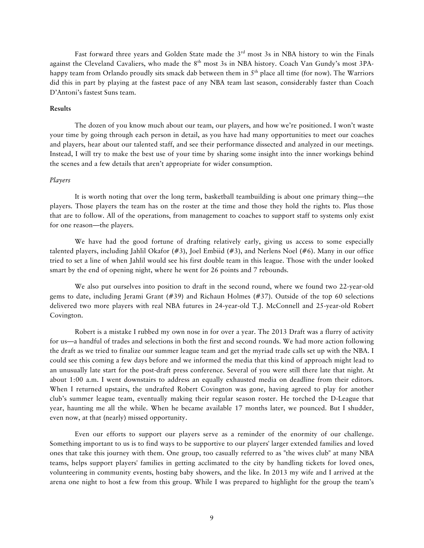Fast forward three years and Golden State made the 3<sup>rd</sup> most 3s in NBA history to win the Finals against the Cleveland Cavaliers, who made the 8<sup>th</sup> most 3s in NBA history. Coach Van Gundy's most 3PAhappy team from Orlando proudly sits smack dab between them in 5<sup>th</sup> place all time (for now). The Warriors did this in part by playing at the fastest pace of any NBA team last season, considerably faster than Coach D'Antoni's fastest Suns team.

# **Results**

The dozen of you know much about our team, our players, and how we're positioned. I won't waste your time by going through each person in detail, as you have had many opportunities to meet our coaches and players, hear about our talented staff, and see their performance dissected and analyzed in our meetings. Instead, I will try to make the best use of your time by sharing some insight into the inner workings behind the scenes and a few details that aren't appropriate for wider consumption.

# *Players*

It is worth noting that over the long term, basketball teambuilding is about one primary thing—the players. Those players the team has on the roster at the time and those they hold the rights to. Plus those that are to follow. All of the operations, from management to coaches to support staff to systems only exist for one reason—the players.

We have had the good fortune of drafting relatively early, giving us access to some especially talented players, including Jahlil Okafor (#3), Joel Embiid (#3), and Nerlens Noel (#6). Many in our office tried to set a line of when Jahlil would see his first double team in this league. Those with the under looked smart by the end of opening night, where he went for 26 points and 7 rebounds.

We also put ourselves into position to draft in the second round, where we found two 22-year-old gems to date, including Jerami Grant (#39) and Richaun Holmes (#37). Outside of the top 60 selections delivered two more players with real NBA futures in 24-year-old T.J. McConnell and 25-year-old Robert Covington.

Robert is a mistake I rubbed my own nose in for over a year. The 2013 Draft was a flurry of activity for us—a handful of trades and selections in both the first and second rounds. We had more action following the draft as we tried to finalize our summer league team and get the myriad trade calls set up with the NBA. I could see this coming a few days before and we informed the media that this kind of approach might lead to an unusually late start for the post-draft press conference. Several of you were still there late that night. At about 1:00 a.m. I went downstairs to address an equally exhausted media on deadline from their editors. When I returned upstairs, the undrafted Robert Covington was gone, having agreed to play for another club's summer league team, eventually making their regular season roster. He torched the D-League that year, haunting me all the while. When he became available 17 months later, we pounced. But I shudder, even now, at that (nearly) missed opportunity.

Even our efforts to support our players serve as a reminder of the enormity of our challenge. Something important to us is to find ways to be supportive to our players' larger extended families and loved ones that take this journey with them. One group, too casually referred to as "the wives club" at many NBA teams, helps support players' families in getting acclimated to the city by handling tickets for loved ones, volunteering in community events, hosting baby showers, and the like. In 2013 my wife and I arrived at the arena one night to host a few from this group. While I was prepared to highlight for the group the team's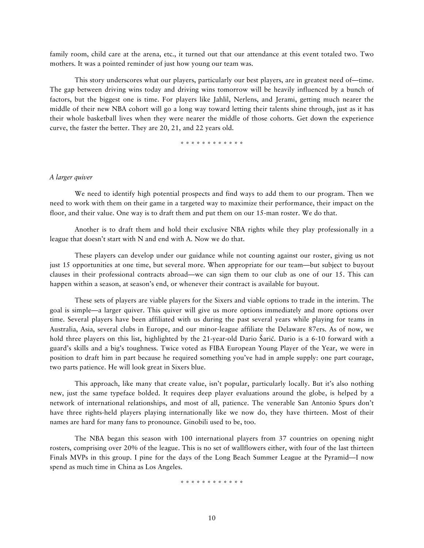family room, child care at the arena, etc., it turned out that our attendance at this event totaled two. Two mothers. It was a pointed reminder of just how young our team was.

This story underscores what our players, particularly our best players, are in greatest need of—time. The gap between driving wins today and driving wins tomorrow will be heavily influenced by a bunch of factors, but the biggest one is time. For players like Jahlil, Nerlens, and Jerami, getting much nearer the middle of their new NBA cohort will go a long way toward letting their talents shine through, just as it has their whole basketball lives when they were nearer the middle of those cohorts. Get down the experience curve, the faster the better. They are 20, 21, and 22 years old.

\* \* \* \* \* \* \* \* \* \* \* \*

### *A larger quiver*

We need to identify high potential prospects and find ways to add them to our program. Then we need to work with them on their game in a targeted way to maximize their performance, their impact on the floor, and their value. One way is to draft them and put them on our 15-man roster. We do that.

Another is to draft them and hold their exclusive NBA rights while they play professionally in a league that doesn't start with N and end with A. Now we do that.

These players can develop under our guidance while not counting against our roster, giving us not just 15 opportunities at one time, but several more. When appropriate for our team—but subject to buyout clauses in their professional contracts abroad—we can sign them to our club as one of our 15. This can happen within a season, at season's end, or whenever their contract is available for buyout.

These sets of players are viable players for the Sixers and viable options to trade in the interim. The goal is simple—a larger quiver. This quiver will give us more options immediately and more options over time. Several players have been affiliated with us during the past several years while playing for teams in Australia, Asia, several clubs in Europe, and our minor-league affiliate the Delaware 87ers. As of now, we hold three players on this list, highlighted by the 21-year-old Dario Šarić. Dario is a 6-10 forward with a guard's skills and a big's toughness. Twice voted as FIBA European Young Player of the Year, we were in position to draft him in part because he required something you've had in ample supply: one part courage, two parts patience. He will look great in Sixers blue.

This approach, like many that create value, isn't popular, particularly locally. But it's also nothing new, just the same typeface bolded. It requires deep player evaluations around the globe, is helped by a network of international relationships, and most of all, patience. The venerable San Antonio Spurs don't have three rights-held players playing internationally like we now do, they have thirteen. Most of their names are hard for many fans to pronounce. Ginobili used to be, too.

The NBA began this season with 100 international players from 37 countries on opening night rosters, comprising over 20% of the league. This is no set of wallflowers either, with four of the last thirteen Finals MVPs in this group. I pine for the days of the Long Beach Summer League at the Pyramid—I now spend as much time in China as Los Angeles.

\* \* \* \* \* \* \* \* \* \* \* \*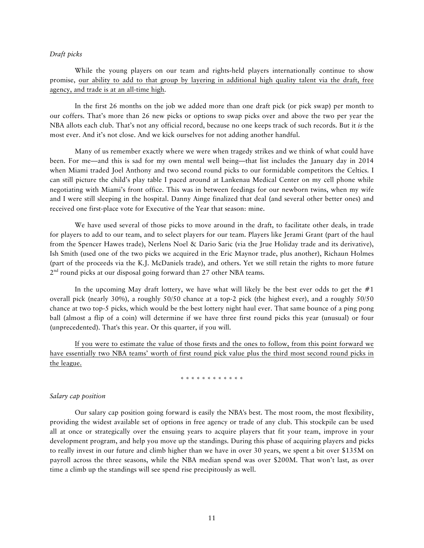# *Draft picks*

While the young players on our team and rights-held players internationally continue to show promise, our ability to add to that group by layering in additional high quality talent via the draft, free agency, and trade is at an all-time high.

In the first 26 months on the job we added more than one draft pick (or pick swap) per month to our coffers. That's more than 26 new picks or options to swap picks over and above the two per year the NBA allots each club. That's not any official record, because no one keeps track of such records. But it *is* the most ever. And it's not close. And we kick ourselves for not adding another handful.

Many of us remember exactly where we were when tragedy strikes and we think of what could have been. For me—and this is sad for my own mental well being—that list includes the January day in 2014 when Miami traded Joel Anthony and two second round picks to our formidable competitors the Celtics. I can still picture the child's play table I paced around at Lankenau Medical Center on my cell phone while negotiating with Miami's front office. This was in between feedings for our newborn twins, when my wife and I were still sleeping in the hospital. Danny Ainge finalized that deal (and several other better ones) and received one first-place vote for Executive of the Year that season: mine.

We have used several of those picks to move around in the draft, to facilitate other deals, in trade for players to add to our team, and to select players for our team. Players like Jerami Grant (part of the haul from the Spencer Hawes trade), Nerlens Noel & Dario Saric (via the Jrue Holiday trade and its derivative), Ish Smith (used one of the two picks we acquired in the Eric Maynor trade, plus another), Richaun Holmes (part of the proceeds via the K.J. McDaniels trade), and others. Yet we still retain the rights to more future  $2<sup>nd</sup>$  round picks at our disposal going forward than 27 other NBA teams.

In the upcoming May draft lottery, we have what will likely be the best ever odds to get the  $#1$ overall pick (nearly 30%), a roughly 50/50 chance at a top-2 pick (the highest ever), and a roughly 50/50 chance at two top-5 picks, which would be the best lottery night haul ever. That same bounce of a ping pong ball (almost a flip of a coin) will determine if we have three first round picks this year (unusual) or four (unprecedented). That's this year. Or this quarter, if you will.

If you were to estimate the value of those firsts and the ones to follow, from this point forward we have essentially two NBA teams' worth of first round pick value plus the third most second round picks in the league.

## \* \* \* \* \* \* \* \* \* \* \* \*

#### *Salary cap position*

Our salary cap position going forward is easily the NBA's best. The most room, the most flexibility, providing the widest available set of options in free agency or trade of any club. This stockpile can be used all at once or strategically over the ensuing years to acquire players that fit your team, improve in your development program, and help you move up the standings. During this phase of acquiring players and picks to really invest in our future and climb higher than we have in over 30 years, we spent a bit over \$135M on payroll across the three seasons, while the NBA median spend was over \$200M. That won't last, as over time a climb up the standings will see spend rise precipitously as well.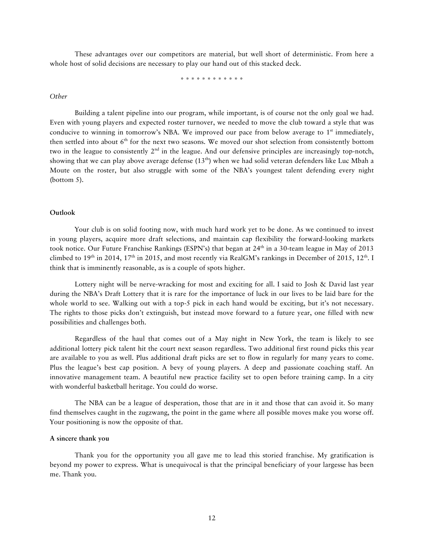These advantages over our competitors are material, but well short of deterministic. From here a whole host of solid decisions are necessary to play our hand out of this stacked deck.

\* \* \* \* \* \* \* \* \* \* \* \*

### *Other*

Building a talent pipeline into our program, while important, is of course not the only goal we had. Even with young players and expected roster turnover, we needed to move the club toward a style that was conducive to winning in tomorrow's NBA. We improved our pace from below average to  $1<sup>st</sup>$  immediately, then settled into about 6<sup>th</sup> for the next two seasons. We moved our shot selection from consistently bottom two in the league to consistently  $2<sup>nd</sup>$  in the league. And our defensive principles are increasingly top-notch, showing that we can play above average defense (13<sup>th</sup>) when we had solid veteran defenders like Luc Mbah a Moute on the roster, but also struggle with some of the NBA's youngest talent defending every night (bottom 5).

## **Outlook**

Your club is on solid footing now, with much hard work yet to be done. As we continued to invest in young players, acquire more draft selections, and maintain cap flexibility the forward-looking markets took notice. Our Future Franchise Rankings (ESPN's) that began at 24<sup>th</sup> in a 30-team league in May of 2013 climbed to 19<sup>th</sup> in 2014, 17<sup>th</sup> in 2015, and most recently via RealGM's rankings in December of 2015, 12<sup>th</sup>. I think that is imminently reasonable, as is a couple of spots higher.

Lottery night will be nerve-wracking for most and exciting for all. I said to Josh & David last year during the NBA's Draft Lottery that it is rare for the importance of luck in our lives to be laid bare for the whole world to see. Walking out with a top-5 pick in each hand would be exciting, but it's not necessary. The rights to those picks don't extinguish, but instead move forward to a future year, one filled with new possibilities and challenges both.

Regardless of the haul that comes out of a May night in New York, the team is likely to see additional lottery pick talent hit the court next season regardless. Two additional first round picks this year are available to you as well. Plus additional draft picks are set to flow in regularly for many years to come. Plus the league's best cap position. A bevy of young players. A deep and passionate coaching staff. An innovative management team. A beautiful new practice facility set to open before training camp. In a city with wonderful basketball heritage. You could do worse.

The NBA can be a league of desperation, those that are in it and those that can avoid it. So many find themselves caught in the zugzwang, the point in the game where all possible moves make you worse off. Your positioning is now the opposite of that.

#### **A sincere thank you**

Thank you for the opportunity you all gave me to lead this storied franchise. My gratification is beyond my power to express. What is unequivocal is that the principal beneficiary of your largesse has been me. Thank you.